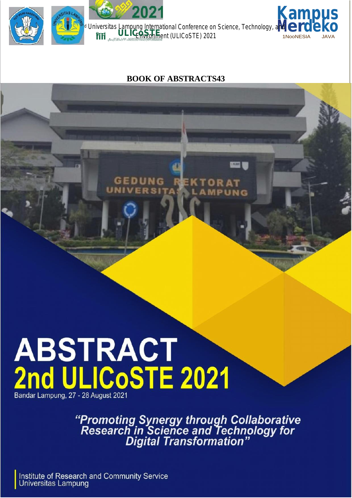

### **BOOK OF ABSTRACTS43**

EDUNG **KTORAT VERSITA MPUNG** 

**ERW IS** 

# **ABSTRACT<br>2nd ULICOSTE 2021** Bandar Lampung, 27 - 28 August 2021

"Promoting Synergy through Collaborative<br>Research in Science and Technology for<br>Digital Transformation"

Institute of Research and Community Service Universitas Lampung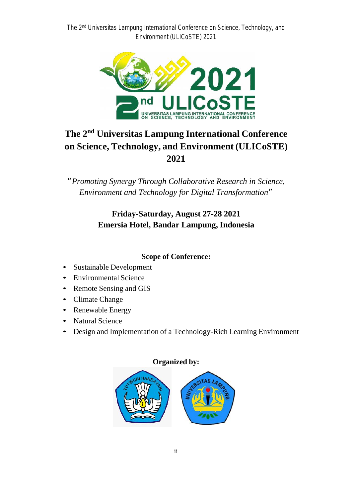*The 2 nd Universitas Lampung International Conference on Science, Technology, and Environment (ULICoSTE) 2021*



# **The 2 nd Universitas Lampung International Conference on Science, Technology, and Environment (ULICoSTE) 2021**

*"Promoting Synergy Through Collaborative Research in Science, Environment and Technology for Digital Transformation"*

### **Friday-Saturday, August 27-28 2021 Emersia Hotel, Bandar Lampung, Indonesia**

### **Scope of Conference:**

- Sustainable Development
- Environmental Science
- Remote Sensing and GIS
- Climate Change
- Renewable Energy
- Natural Science
- Design and Implementation of a Technology-Rich Learning Environment

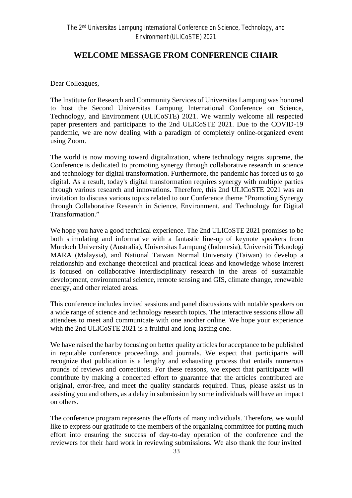### **WELCOME MESSAGE FROM CONFERENCE CHAIR**

Dear Colleagues,

The Institute for Research and Community Services of Universitas Lampung was honored to host the Second Universitas Lampung International Conference on Science, Technology, and Environment (ULICoSTE) 2021. We warmly welcome all respected paper presenters and participants to the 2nd ULICoSTE 2021. Due to the COVID-19 pandemic, we are now dealing with a paradigm of completely online-organized event using Zoom.

The world is now moving toward digitalization, where technology reigns supreme, the Conference is dedicated to promoting synergy through collaborative research in science and technology for digital transformation. Furthermore, the pandemic has forced us to go digital. As a result, today's digital transformation requires synergy with multiple parties through various research and innovations. Therefore, this 2nd ULICoSTE 2021 was an invitation to discuss various topics related to our Conference theme "Promoting Synergy through Collaborative Research in Science, Environment, and Technology for Digital Transformation."

We hope you have a good technical experience. The 2nd ULICoSTE 2021 promises to be both stimulating and informative with a fantastic line-up of keynote speakers from Murdoch University (Australia), Universitas Lampung (Indonesia), Universiti Teknologi MARA (Malaysia), and National Taiwan Normal University (Taiwan) to develop a relationship and exchange theoretical and practical ideas and knowledge whose interest is focused on collaborative interdisciplinary research in the areas of sustainable development, environmental science, remote sensing and GIS, climate change, renewable energy, and other related areas.

This conference includes invited sessions and panel discussions with notable speakers on a wide range of science and technology research topics. The interactive sessions allow all attendees to meet and communicate with one another online. We hope your experience with the 2nd ULICoSTE 2021 is a fruitful and long-lasting one.

We have raised the bar by focusing on better quality articles for acceptance to be published in reputable conference proceedings and journals. We expect that participants will recognize that publication is a lengthy and exhausting process that entails numerous rounds of reviews and corrections. For these reasons, we expect that participants will contribute by making a concerted effort to guarantee that the articles contributed are original, error-free, and meet the quality standards required. Thus, please assist us in assisting you and others, as a delay in submission by some individuals will have an impact on others.

The conference program represents the efforts of many individuals. Therefore, we would like to express our gratitude to the members of the organizing committee for putting much effort into ensuring the success of day-to-day operation of the conference and the reviewers for their hard work in reviewing submissions. We also thank the four invited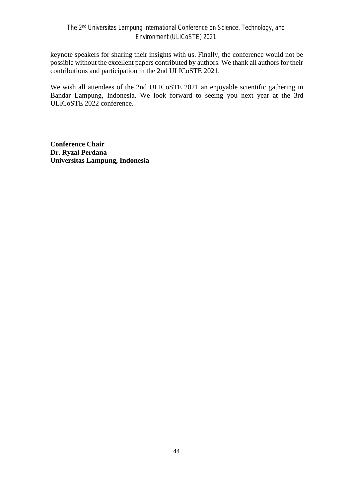keynote speakers for sharing their insights with us. Finally, the conference would not be possible without the excellent papers contributed by authors. We thank all authors for their contributions and participation in the 2nd ULICoSTE 2021.

We wish all attendees of the 2nd ULICoSTE 2021 an enjoyable scientific gathering in Bandar Lampung, Indonesia. We look forward to seeing you next year at the 3rd ULICoSTE 2022 conference.

**Conference Chair Dr. Ryzal Perdana Universitas Lampung, Indonesia**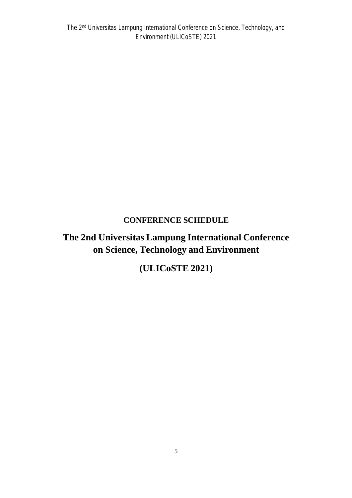### **CONFERENCE SCHEDULE**

## **The 2nd Universitas Lampung International Conference on Science, Technology and Environment**

## **(ULICoSTE 2021)**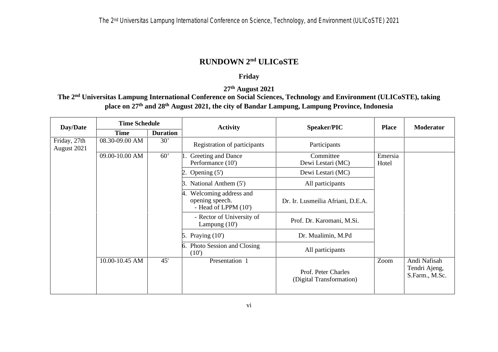### **RUNDOWN 2 nd ULICoSTE**

### **Friday**

**27th August 2021**

**The 2 nd Universitas Lampung International Conference on Social Sciences, Technology and Environment (ULICoSTE), taking place on 27th and 28 th August 2021, the city of Bandar Lampung, Lampung Province, Indonesia**

| Day/Date                    | <b>Time Schedule</b><br><b>Duration</b><br>Time |                                                                          | <b>Activity</b>                                                  | Speaker/PIC                                     | <b>Place</b>     | <b>Moderator</b>                                |
|-----------------------------|-------------------------------------------------|--------------------------------------------------------------------------|------------------------------------------------------------------|-------------------------------------------------|------------------|-------------------------------------------------|
|                             |                                                 |                                                                          |                                                                  |                                                 |                  |                                                 |
| Friday, 27th<br>August 2021 | 08.30-09.00 AM                                  | 30'                                                                      | Registration of participants                                     | Participants                                    |                  |                                                 |
|                             | 09.00-10.00 AM                                  | 60'                                                                      | Greeting and Dance<br>Performance (10')                          | Committee<br>Dewi Lestari (MC)                  | Emersia<br>Hotel |                                                 |
|                             |                                                 |                                                                          | Opening $(5')$                                                   | Dewi Lestari (MC)                               |                  |                                                 |
|                             |                                                 |                                                                          | National Anthem (5')<br>З.                                       | All participants                                |                  |                                                 |
|                             |                                                 |                                                                          | Welcoming address and<br>opening speech.<br>- Head of LPPM (10') | Dr. Ir. Lusmeilia Afriani, D.E.A.               |                  |                                                 |
|                             |                                                 | - Rector of University of<br>Prof. Dr. Karomani, M.Si.<br>Lampung $(10)$ |                                                                  |                                                 |                  |                                                 |
|                             |                                                 |                                                                          | Praying $(10^{\circ})$<br>5.                                     | Dr. Mualimin, M.Pd                              |                  |                                                 |
|                             |                                                 |                                                                          | Photo Session and Closing<br>(10)                                | All participants                                |                  |                                                 |
|                             | 10.00-10.45 AM                                  | 45'                                                                      | Presentation 1                                                   | Prof. Peter Charles<br>(Digital Transformation) | Zoom             | Andi Nafisah<br>Tendri Ajeng,<br>S.Farm., M.Sc. |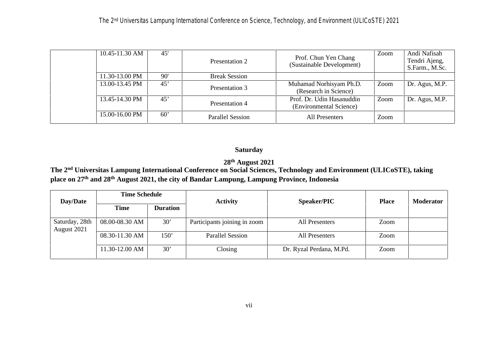| 10.45-11.30 AM | 45' | Presentation 2          | Prof. Chun Yen Chang<br>(Sustainable Development)    | Zoom | Andi Nafisah<br>Tendri Ajeng,<br>S.Farm., M.Sc. |
|----------------|-----|-------------------------|------------------------------------------------------|------|-------------------------------------------------|
| 11.30-13.00 PM | 90' | <b>Break Session</b>    |                                                      |      |                                                 |
| 13.00-13.45 PM | 45' | Presentation 3          | Muhamad Norhisyam Ph.D.<br>(Research in Science)     | Zoom | Dr. Agus, M.P.                                  |
| 13.45-14.30 PM | 45' | Presentation 4          | Prof. Dr. Udin Hasanuddin<br>(Environmental Science) | Zoom | Dr. Agus, M.P.                                  |
| 15.00-16.00 PM | 60' | <b>Parallel Session</b> | <b>All Presenters</b>                                | Zoom |                                                 |

### **Saturday**

### **28th August 2021**

**The 2 nd Universitas Lampung International Conference on Social Sciences, Technology and Environment (ULICoSTE), taking place on 27 th and 28th August 2021, the city of Bandar Lampung, Lampung Province, Indonesia**

| Day/Date                      | <b>Time Schedule</b> |                 | <b>Activity</b>              | <b>Speaker/PIC</b>       | <b>Place</b> | <b>Moderator</b> |  |
|-------------------------------|----------------------|-----------------|------------------------------|--------------------------|--------------|------------------|--|
|                               | <b>Time</b>          | <b>Duration</b> |                              |                          |              |                  |  |
| Saturday, 28th<br>August 2021 | 08.00-08.30 AM       | 30'             | Participants joining in zoom | All Presenters           | Zoom         |                  |  |
|                               | 08.30-11.30 AM       | 150'            | <b>Parallel Session</b>      | All Presenters           | Zoom         |                  |  |
|                               | 11.30-12.00 AM       | 30'             | Closing                      | Dr. Ryzal Perdana, M.Pd. | Zoom         |                  |  |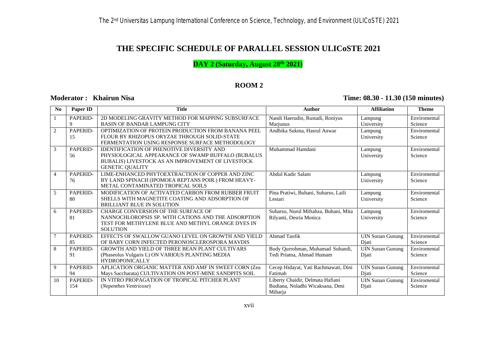### **THE SPECIFIC SCHEDULE OF PARALLEL SESSION ULICoSTE 2021**

**DAY 2 (Saturday, August 28th 2021)**

### **ROOM 2**

### **Moderator : Khairun Nisa Time: 08.30 - 11.30 (150 minutes)**

| No             | Paper ID        | <b>Title</b>                                                                                                                                                                          | <b>Author</b>                                                                   | <b>Affiliation</b>               | <b>Theme</b>            |
|----------------|-----------------|---------------------------------------------------------------------------------------------------------------------------------------------------------------------------------------|---------------------------------------------------------------------------------|----------------------------------|-------------------------|
| $\mathbf{1}$   | PAPERID-<br>9   | 2D MODELING GRAVITY METHOD FOR MAPPING SUBSURFACE<br><b>BASIN OF BANDAR LAMPUNG CITY</b>                                                                                              | Nandi Haerudin, Rustadi, Roniyus<br>Marjunus                                    | Lampung<br>University            | Enviromental<br>Science |
| 2              | PAPERID-<br>15  | OPTIMIZATION OF PROTEIN PRODUCTION FROM BANANA PEEL<br>FLOUR BY RHIZOPUS ORYZAE THROUGH SOLID-STATE<br>FERMENTATION USING RESPONSE SURFACE METHODOLOGY                                | Andhika Sukma, Hasrul Anwar                                                     | Lampung<br>University            | Enviromental<br>Science |
| 3              | PAPERID-<br>56  | <b>IDENTIFICATION OF PHENOTIVE DIVERSITY AND</b><br>PHYSIOLOGICAL APPEARANCE OF SWAMP BUFFALO (BUBALUS<br>BUBALIS) LIVESTOCK AS AN IMPROVEMENT OF LIVESTOCK<br><b>GENETIC QUALITY</b> | Muhammad Hamdani                                                                | Lampung<br>University            | Enviromental<br>Science |
| $\overline{4}$ | PAPERID-<br>76  | LIME-ENHANCED PHYTOEXTRACTION OF COPPER AND ZINC<br>BY LAND SPINACH (IPOMOEA REPTANS POIR.) FROM HEAVY-<br>METAL CONTAMINATED TROPICAL SOILS                                          | Abdul Kadir Salam                                                               | Lampung<br>University            | Enviromental<br>Science |
| 5              | PAPERID-<br>80  | MODIFICATION OF ACTIVATED CARBON FROM RUBBER FRUIT<br>SHELLS WITH MAGNETITE COATING AND ADSORPTION OF<br><b>BRILLIANT BLUE IN SOLUTION</b>                                            | Pina Pratiwi, Buhani, Suharso, Laili<br>Lestari                                 | Lampung<br>University            | Enviromental<br>Science |
| 6              | PAPERID-<br>81  | <b>CHARGE CONVERSION OF THE SURFACE OF</b><br>NANNOCHLOROPSIS SP. WITH CATIONS AND THE ADSORPTION<br>TEST FOR METHYLENE BLUE AND METHYL ORANGE DYES IN<br><b>SOLUTION</b>             | Suharso, Nurul Miftahza, Buhani, Mita<br>Rilyanti, Desria Monica                | Lampung<br>University            | Enviromental<br>Science |
|                | PAPERID-<br>85  | EFFECTS OF SWALLOW GUANO LEVEL ON GROWTH AND YIELD<br>OF BABY CORN INFECTED PERONOSCLEROSPORA MAVDIS                                                                                  | <b>Ahmad Taofik</b>                                                             | <b>UIN Sunan Gunung</b><br>Diati | Enviromental<br>Science |
| 8              | PAPERID-<br>91  | GROWTH AND YIELD OF THREE BEAN PLANT CULTIVARS<br>(Phaseolus Vulgaris L) ON VARIOUS PLANTING MEDIA<br><b>HYDROPONICALLY</b>                                                           | Budy Qurrohman, Muhamad Subandi,<br>Tedi Priatna, Ahmad Humam                   | <b>UIN Sunan Gunung</b><br>Diati | Enviromental<br>Science |
| 9              | PAPERID-<br>94  | APLICATION ORGANIC MATTER AND AMF IN SWEET CORN (Zea<br>Mays Saccharata) CULTIVATION ON POST-MINE SANDPITS SOIL                                                                       | Cecep Hidayat, Yati Rachmawati, Dini<br>Fatimah                                 | <b>UIN Sunan Gunung</b><br>Diati | Enviromental<br>Science |
| 10             | PAPERID-<br>154 | IN VITRO PROPAGATION OF TROPICAL PITCHER PLANT<br>(Nepenthes Ventricose)                                                                                                              | Liberty Chaidir, Delmata Hafiani<br>Budiana, Noladhi Wicaksana, Deni<br>Miharja | <b>UIN Sunan Gunung</b><br>Djati | Enviromental<br>Science |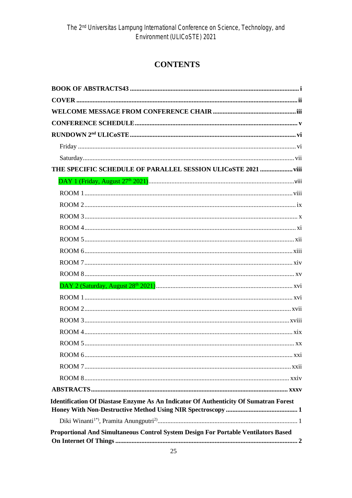### **CONTENTS**

| THE SPECIFIC SCHEDULE OF PARALLEL SESSION ULICOSTE 2021  viii                               |
|---------------------------------------------------------------------------------------------|
|                                                                                             |
|                                                                                             |
|                                                                                             |
|                                                                                             |
|                                                                                             |
|                                                                                             |
|                                                                                             |
|                                                                                             |
|                                                                                             |
|                                                                                             |
|                                                                                             |
|                                                                                             |
|                                                                                             |
|                                                                                             |
|                                                                                             |
|                                                                                             |
|                                                                                             |
|                                                                                             |
|                                                                                             |
| <b>Identification Of Diastase Enzyme As An Indicator Of Authenticity Of Sumatran Forest</b> |
|                                                                                             |
| Proportional And Simultaneous Control System Design For Portable Ventilators Based          |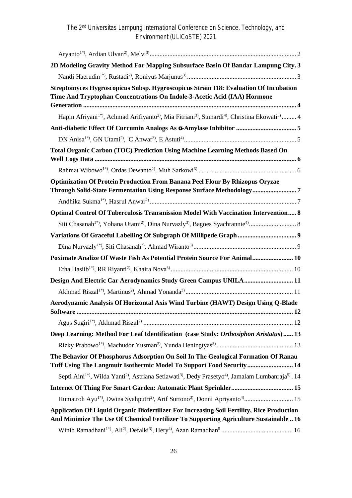*The 2 nd Universitas Lampung International Conference on Science, Technology, and Environment (ULICoSTE) 2021*

| 2D Modeling Gravity Method For Mapping Subsurface Basin Of Bandar Lampung City. 3                                                                                                                             |  |
|---------------------------------------------------------------------------------------------------------------------------------------------------------------------------------------------------------------|--|
|                                                                                                                                                                                                               |  |
| Streptomyces Hygroscopicus Subsp. Hygroscopicus Strain I18: Evaluation Of Incubation<br>Time And Tryptophan Concentrations On Indole-3-Acetic Acid (IAA) Hormone                                              |  |
| Hapin Afriyani <sup>1*</sup> , Achmad Arifiyanto <sup>2)</sup> , Mia Fitriani <sup>3</sup> , Sumardi <sup>4</sup> , Christina Ekowati <sup>5)</sup> 4                                                         |  |
|                                                                                                                                                                                                               |  |
|                                                                                                                                                                                                               |  |
| Total Organic Carbon (TOC) Prediction Using Machine Learning Methods Based On                                                                                                                                 |  |
|                                                                                                                                                                                                               |  |
| <b>Optimization Of Protein Production From Banana Peel Flour By Rhizopus Oryzae</b><br>Through Solid-State Fermentation Using Response Surface Methodology7                                                   |  |
|                                                                                                                                                                                                               |  |
| Optimal Control Of Tuberculosis Transmission Model With Vaccination Intervention 8                                                                                                                            |  |
|                                                                                                                                                                                                               |  |
|                                                                                                                                                                                                               |  |
|                                                                                                                                                                                                               |  |
| Poximate Analize Of Waste Fish As Potential Protein Source For Animal 10                                                                                                                                      |  |
|                                                                                                                                                                                                               |  |
| Design And Electric Car Aerodynamics Study Green Campus UNILA 11                                                                                                                                              |  |
|                                                                                                                                                                                                               |  |
| Aerodynamic Analysis Of Horizontal Axis Wind Turbine (HAWT) Design Using Q-Blade                                                                                                                              |  |
|                                                                                                                                                                                                               |  |
| Deep Learning: Method For Leaf Identification (case Study: Orthosiphon Aristatus) 13                                                                                                                          |  |
|                                                                                                                                                                                                               |  |
| The Behavior Of Phosphorus Adsorption On Soil In The Geological Formation Of Ranau<br>Tuff Using The Langmuir Isothermic Model To Support Food Security  14                                                   |  |
| Septi Aini <sup>1*</sup> , Wilda Yanti <sup>2</sup> <sup>)</sup> , Astriana Setiawati <sup>3</sup> <sup>)</sup> , Dedy Prasetyo <sup>4</sup> <sup>)</sup> , Jamalam Lumbanraja <sup>5</sup> <sup>)</sup> . 14 |  |
|                                                                                                                                                                                                               |  |
| Humairoh Ayu <sup>1*)</sup> , Dwina Syahputri <sup>2)</sup> , Arif Surtono <sup>3)</sup> , Donni Apriyanto <sup>4)</sup> 15                                                                                   |  |
| Application Of Liquid Organic Biofertilizer For Increasing Soil Fertility, Rice Production<br>And Minimize The Use Of Chemical Fertilizer To Supporting Agriculture Sustainable  16                           |  |
|                                                                                                                                                                                                               |  |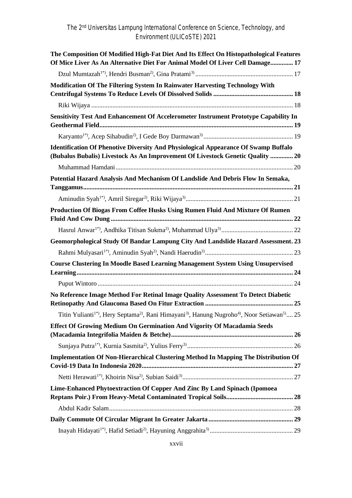| The Composition Of Modified High-Fat Diet And Its Effect On Histopathological Features<br>Of Mice Liver As An Alternative Diet For Animal Model Of Liver Cell Damage 17      |  |
|------------------------------------------------------------------------------------------------------------------------------------------------------------------------------|--|
|                                                                                                                                                                              |  |
| Modification Of The Filtering System In Rainwater Harvesting Technology With                                                                                                 |  |
|                                                                                                                                                                              |  |
| Sensitivity Test And Enhancement Of Accelerometer Instrument Prototype Capability In                                                                                         |  |
|                                                                                                                                                                              |  |
| <b>Identification Of Phenotive Diversity And Physiological Appearance Of Swamp Buffalo</b><br>(Bubalus Bubalis) Livestock As An Improvement Of Livestock Genetic Quality  20 |  |
|                                                                                                                                                                              |  |
| Potential Hazard Analysis And Mechanism Of Landslide And Debris Flow In Semaka,                                                                                              |  |
|                                                                                                                                                                              |  |
| Production Of Biogas From Coffee Husks Using Rumen Fluid And Mixture Of Rumen                                                                                                |  |
|                                                                                                                                                                              |  |
| Geomorphological Study Of Bandar Lampung City And Landslide Hazard Assessment. 23                                                                                            |  |
|                                                                                                                                                                              |  |
| <b>Course Clustering In Moodle Based Learning Management System Using Unsupervised</b>                                                                                       |  |
|                                                                                                                                                                              |  |
| No Reference Image Method For Retinal Image Quality Assessment To Detect Diabetic                                                                                            |  |
| Titin Yulianti <sup>1*</sup> ), Hery Septama <sup>2)</sup> , Rani Himayani <sup>3)</sup> , Hanung Nugroho <sup>4</sup> ), Noor Setiawan <sup>5)</sup> 25                     |  |
| Effect Of Growing Medium On Germination And Vigority Of Macadamia Seeds                                                                                                      |  |
|                                                                                                                                                                              |  |
| <b>Implementation Of Non-Hierarchical Clustering Method In Mapping The Distribution Of</b>                                                                                   |  |
|                                                                                                                                                                              |  |
| Lime-Enhanced Phytoextraction Of Copper And Zinc By Land Spinach (Ipomoea                                                                                                    |  |
|                                                                                                                                                                              |  |
|                                                                                                                                                                              |  |
|                                                                                                                                                                              |  |
|                                                                                                                                                                              |  |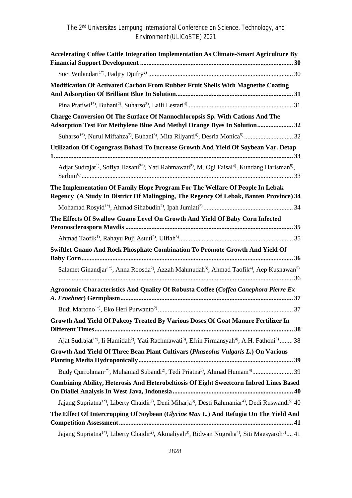*The 2 nd Universitas Lampung International Conference on Science, Technology, and Environment (ULICoSTE) 2021*

| <b>Accelerating Coffee Cattle Integration Implementation As Climate-Smart Agriculture By</b>                                                                          |  |
|-----------------------------------------------------------------------------------------------------------------------------------------------------------------------|--|
|                                                                                                                                                                       |  |
| Modification Of Activated Carbon From Rubber Fruit Shells With Magnetite Coating                                                                                      |  |
|                                                                                                                                                                       |  |
| <b>Charge Conversion Of The Surface Of Nannochloropsis Sp. With Cations And The</b><br>Adsorption Test For Methylene Blue And Methyl Orange Dyes In Solution 32       |  |
|                                                                                                                                                                       |  |
| Utilization Of Cogongrass Bohasi To Increase Growth And Yield Of Soybean Var. Detap                                                                                   |  |
| Adjat Sudrajat <sup>1)</sup> , Sofiya Hasani <sup>2*</sup> ), Yati Rahmawati <sup>3</sup> ), M. Ogi Faisal <sup>4)</sup> , Kundang Harisman <sup>5)</sup> ,           |  |
| The Implementation Of Family Hope Program For The Welfare Of People In Lebak<br>Regency (A Study In District Of Malingping, The Regency Of Lebak, Banten Province) 34 |  |
|                                                                                                                                                                       |  |
| The Effects Of Swallow Guano Level On Growth And Yield Of Baby Corn Infected                                                                                          |  |
|                                                                                                                                                                       |  |
| <b>Swiftlet Guano And Rock Phosphate Combination To Promote Growth And Yield Of</b>                                                                                   |  |
| Salamet Ginandjar <sup>1*</sup> ), Anna Roosda <sup>2</sup> ), Azzah Mahmudah <sup>3)</sup> , Ahmad Taofik <sup>4)</sup> , Aep Kusnawan <sup>5)</sup>                 |  |
| Agronomic Characteristics And Quality Of Robusta Coffee (Coffea Canephora Pierre Ex                                                                                   |  |
|                                                                                                                                                                       |  |
| Growth And Yield Of Pakcoy Treated By Various Doses Of Goat Manure Fertilizer In                                                                                      |  |
| Ajat Sudrajat <sup>1*</sup> ), Ii Hamidah <sup>2)</sup> , Yati Rachmawati <sup>3</sup> ), Efrin Firmansyah <sup>4)</sup> , A.H. Fathoni <sup>5)</sup> 38              |  |
| Growth And Yield Of Three Bean Plant Cultivars (Phaseolus Vulgaris L.) On Various                                                                                     |  |
|                                                                                                                                                                       |  |
| <b>Combining Ability, Heterosis And Heterobeltiosis Of Eight Sweetcorn Inbred Lines Based</b>                                                                         |  |
| Jajang Supriatna <sup>1*</sup> , Liberty Chaidir <sup>2)</sup> , Deni Miharja <sup>3</sup> , Desti Rahmaniar <sup>4)</sup> , Dedi Ruswandi <sup>5)</sup> 40           |  |
| The Effect Of Intercropping Of Soybean (Glycine Max L.) And Refugia On The Yield And                                                                                  |  |
| Jajang Supriatna <sup>1*)</sup> , Liberty Chaidir <sup>2)</sup> , Akmaliyah <sup>3)</sup> , Ridwan Nugraha <sup>4)</sup> , Siti Maesyaroh <sup>5)</sup> 41            |  |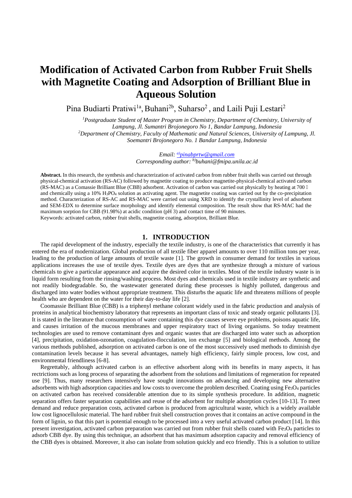## **Modification of Activated Carbon from Rubber Fruit Shells with Magnetite Coating and Adsorption of Brilliant Blue in Aqueous Solution**

Pina Budiarti Pratiwi<sup>1a</sup>, Buhani<sup>2b</sup>, Suharso<sup>2</sup>, and Laili Puji Lestari<sup>2</sup>

*<sup>1</sup>Postgraduate Student of Master Program in Chemistry, Department of Chemistry, University of Lampung, Jl. Sumantri Brojonegoro No 1, Bandar Lampung, Indonesia <sup>2</sup>Department of Chemistry, Faculty of Mathematic and Natural Sciences, University of Lampung, Jl. Soemantri Brojonegoro No. 1 Bandar Lampung, Indonesia*

> *Email: a)pinabprtw@gmail.com Corresponding author: b)buhani@fmipa.unila.ac.id*

**Abstract.** In this research, the synthesis and characterization of activated carbon from rubber fruit shells was carried out through physical-chemical activation (RS-AC) followed by magnetite coating to produce magnetite-physical-chemical activated carbon (RS-MAC) as a Comassie Brilliant Blue (CBB) adsorbent. Activation of carbon was carried out physically by heating at 700 and chemically using a 10% H3PO<sup>4</sup> solution as activating agent. The magnetite coating was carried out by the co-precipitation method. Characterization of RS-AC and RS-MAC were carried out using XRD to identify the crystallinity level of adsorbent and SEM-EDX to determine surface morphology and identify elemental composition. The result show that RS-MAC had the maximum sorption for CBB (91.98%) at acidic condition (pH 3) and contact time of 90 minutes. Keywords: activated carbon, rubber fruit shells, magnetite coating, adsorption, Brilliant Blue.

#### **1. INTRODUCTION**

The rapid development of the industry, especially the textile industry, is one of the characteristics that currently it has entered the era of modernization. Global production of all textile fiber apparel amounts to over 110 million tons per year, leading to the production of large amounts of textile waste [1]. The growth in consumer demand for textiles in various applications increases the use of textile dyes. Textile dyes are dyes that are synthesize through a mixture of various chemicals to give a particular appearance and acquire the desired color in textiles. Most of the textile industry waste is in liquid form resulting from the rinsing/washing process. Most dyes and chemicals used in textile industry are synthetic and not readily biodegradable. So, the wastewater generated during these processes is highly polluted, dangerous and discharged into water bodies without appropriate treatment. This disturbs the aquatic life and threatens millions of people health who are dependent on the water for their day-to-day life [2].

Coomassie Brilliant Blue (CBB) is a triphenyl methane colorant widely used in the fabric production and analysis of proteins in analytical biochemistry laboratory that represents an important class of toxic and steady organic pollutants [3]. It is stated in the literature that consumption of water containing this dye causes severe eye problems, poisons aquatic life, and causes irritation of the mucous membranes and upper respiratory tract of living organisms. So today treatment technologies are used to remove contaminant dyes and organic wastes that are discharged into water such as adsorption [4], precipitation, oxidation-ozonation, coagulation-flocculation, ion exchange [5] and biological methods. Among the various methods published, adsorption on activated carbon is one of the most successively used methods to diminish dye contamination levels because it has several advantages, namely high efficiency, fairly simple process, low cost, and environmental friendliness [6-8].

Regrettably, although activated carbon is an effective adsorbent along with its benefits in many aspects, it has rectrictions such as long process of separating the adsorbent from the solutions and limitations of regeneration for repeated use [9]. Thus, many researchers intensively have sought innovations on advancing and developing new alternative adsorbents with high adsorption capacities and low costs to overcome the problem described. Coating using Fe<sub>3</sub>O<sub>4</sub> particles on activated carbon has received considerable attention due to its simple synthesis procedure. In addition, magnetic separation offers faster separation capabilities and reuse of the adsorbent for multiple adsorption cycles [10-13]. To meet demand and reduce preparation costs, activated carbon is produced from agricultural waste, which is a widely available low cost lignocellulosic material. The hard rubber fruit shell construction proves that it contains an active compound in the form of lignin, so that this part is potential enough to be processed into a very useful activated carbon product [14]. In this present investigation, activated carbon preparation was carried out from rubber fruit shells coated with  $Fe<sub>3</sub>O<sub>4</sub>$  particles to adsorb CBB dye. By using this technique, an adsorbent that has maximum adsorption capacity and removal efficiency of the CBB dyes is obtained. Moreover, it also can isolate from solution quickly and eco friendly. This is a solution to utilize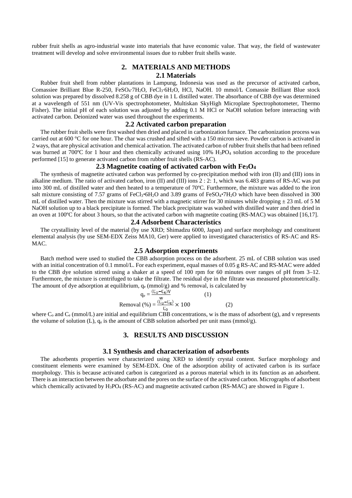rubber fruit shells as agro-industrial waste into materials that have economic value. That way, the field of wastewater treatment will develop and solve environmental issues due to rubber fruit shells waste.

#### **2. MATERIALS AND METHODS 2.1 Materials**

Rubber fruit shell from rubber plantations in Lampung, Indonesia was used as the precursor of activated carbon, Comassiee Brilliant Blue R-250, FeSO4⋅7H<sub>2</sub>O, FeCl<sub>3</sub>⋅6H<sub>2</sub>O, HCl, NaOH. 10 mmol/L Comassie Brilliant Blue stock solution was prepared by dissolved 8.258 g of CBB dye in 1 L distilled water. The absorbance of CBB dye was determined at a wavelength of 551 nm (UV-Vis spectrophotometer, Multiskan SkyHigh Microplate Spectrophotometer, Thermo Fisher). The initial pH of each solution was adjusted by adding 0.1 M HCl or NaOH solution before interacting with activated carbon. Deionized water was used throughout the experiments.

#### **2.2 Activated carbon preparation**

The rubber fruit shells were first washed then dried and placed in carbonization furnace. The carbonization process was carried out at 600 °C for one hour. The char was crushed and sifted with a 150 micron sieve. Powder carbon is activated in 2 ways, that are physical activation and chemical activation. The activated carbon of rubber fruit shells that had been refined was burned at 700°C for 1 hour and then chemically activated using 10% H<sub>3</sub>PO<sub>4</sub> solution according to the procedure performed [15] to generate activated carbon from rubber fruit shells (RS-AC).

#### **2.3 Magnetite coating of activated carbon with Fe3O<sup>4</sup>**

The synthesis of magnetite activated carbon was performed by co-precipitation method with iron (II) and (III) ions in alkaline medium. The ratio of activated carbon, iron (II) and (III) ions 2 : 2: 1, which was 6.483 grams of RS-AC was put into 300 mL of distilled water and then heated to a temperature of 70ºC. Furthermore, the mixture was added to the iron salt mixture consisting of 7.57 grams of FeCl<sub>3</sub> 6H<sub>2</sub>O and 3.89 grams of FeSO<sub>4</sub> 7H<sub>2</sub>O which have been dissolved in 300 mL of distilled water. Then the mixture was stirred with a magnetic stirrer for 30 minutes while dropping  $\pm$  23 mL of 5 M NaOH solution up to a black precipitate is formed. The black precipitate was washed with distilled water and then dried in an oven at 100ºC for about 3 hours, so that the activated carbon with magnetite coating (RS-MAC) was obtained [16,17].

#### **2.4 Adsorbent Characteristics**

The crystallinity level of the material (by use XRD; Shimadzu 6000, Japan) and surface morphology and constituent elemental analysis (by use SEM-EDX Zeiss MA10, Ger) were applied to investigated characteristics of RS-AC and RS- MAC.

#### **2.5 Adsorption experiments**

Batch method were used to studied the CBB adsorption process on the adsorbent. 25 mL of CBB solution was used with an initial concentration of 0.1 mmol/L. For each experiment, equal masses of 0.05 g RS-AC and RS-MAC were added to the CBB dye solution stirred using a shaker at a speed of 100 rpm for 60 minutes over ranges of pH from 3–12. Furthermore, the mixture is centrifuged to take the filtrate. The residual dye in the filtrate was measured photometrically. The amount of dye adsorption at equilibrium,  $q_e$  (mmol/g) and % removal, is calculated by

$$
q_e = \frac{(C_0 - C_e)V}{W}
$$
 (1)  
Removal (%) =  $\frac{(C_0 - C_e)V}{C_0} \times 100$  (2)

where  $C_0$  and  $C_e$  (mmol/L) are initial and equilibrium CBB concentrations, w is the mass of adsorbent (g), and v represents the volume of solution (L),  $q_e$  is the amount of CBB solution adsorbed per unit mass (mmol/g).

#### **3. RESULTS AND DISCUSSION**

#### **3.1 Synthesis and characterization of adsorbents**

The adsorbents properties were characterized using XRD to identify crystal content. Surface morphology and constituent elements were examined by SEM-EDX. One of the adsorption ability of activated carbon is its surface morphology. This is because activated carbon is categorized as a porous material which in its function as an adsorbent. There is an interaction between the adsorbate and the pores on the surface of the activated carbon. Micrographs of adsorbent which chemically activated by H<sub>3</sub>PO<sub>4</sub> (RS-AC) and magnetite activated carbon (RS-MAC) are showed in Figure 1.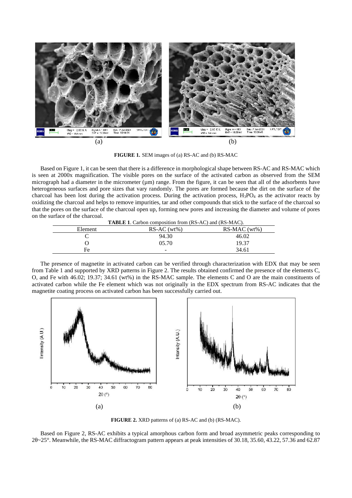

**FIGURE 1.** SEM images of (a) RS-AC and (b) RS-MAC

Based on Figure 1, it can be seen that there is a difference in morphological shape between RS-AC and RS-MAC which is seen at 2000x magnification. The visible pores on the surface of the activated carbon as observed from the SEM micrograph had a diameter in the micrometer  $(\mu m)$  range. From the figure, it can be seen that all of the adsorbents have heterogeneous surfaces and pore sizes that vary randomly. The pores are formed because the dirt on the surface of the charcoal has been lost during the activation process. During the activation process,  $H_3PO_4$  as the activator reacts by oxidizing the charcoal and helps to remove impurities, tar and other compounds that stick to the surface of the charcoal so that the pores on the surface of the charcoal open up, forming new pores and increasing the diameter and volume of pores on the surface of the charcoal.

|         | <b>TABLE 1.</b> Carbon composition from (RS-AC) and (RS-MAC). |               |  |  |  |
|---------|---------------------------------------------------------------|---------------|--|--|--|
| Element | $RS-AC(wt\%)$                                                 | $RS-MAC(wt%)$ |  |  |  |
|         | 94.30                                                         | 46.02         |  |  |  |
|         | 05.70                                                         | 19.37         |  |  |  |
| Fe      | -                                                             | 34.61         |  |  |  |

The presence of magnetite in activated carbon can be verified through characterization with EDX that may be seen from Table 1 and supported by XRD patterns in Figure 2. The results obtained confirmed the presence of the elements C, O, and Fe with 46.02; 19.37; 34.61 (wt%) in the RS-MAC sample. The elements C and O are the main constituents of activated carbon while the Fe element which was not originally in the EDX spectrum from RS-AC indicates that the magnetite coating process on activated carbon has been successfully carried out.



**FIGURE 2.** XRD patterns of (a) RS-AC and (b) (RS-MAC).

Based on Figure 2, RS-AC exhibits a typical amorphous carbon form and broad asymmetric peaks corresponding to  $2 \sim 25^{\circ}$ . Meanwhile, the RS-MAC diffractogram pattern appears at peak intensities of 30.18, 35.60, 43.22, 57.36 and 62.87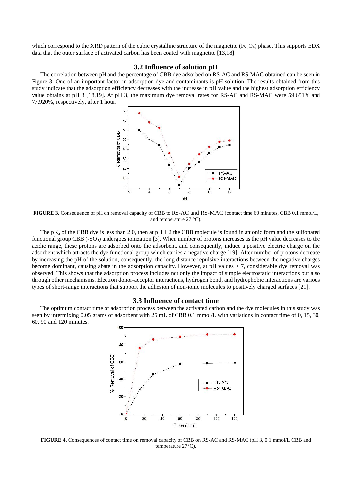which correspond to the XRD pattern of the cubic crystalline structure of the magnetite ( $Fe<sub>3</sub>O<sub>4</sub>$ ) phase. This supports EDX data that the outer surface of activated carbon has been coated with magnetite [13,18].

#### **3.2 Influence of solution pH**

The correlation between pH and the percentage of CBB dye adsorbed on RS-AC and RS-MAC obtained can be seen in Figure 3. One of an important factor in adsorption dye and contaminants is pH solution. The results obtained from this study indicate that the adsorption efficiency decreases with the increase in pH value and the highest adsorption efficiency value obtains at pH 3 [18,19]. At pH 3, the maximum dye removal rates for RS-AC and RS-MAC were 59.651% and 77.920%, respectively, after 1 hour.



**FIGURE 3.** Consequence of pH on removal capacity of CBB to RS-AC and RS-MAC (contact time 60 minutes, CBB 0.1 mmol/L, and temperature 27 °C).

The pK<sub>a</sub> of the CBB dye is less than 2.0, then at pH  $\,$  2 the CBB molecule is found in anionic form and the sulfonated functional group CBB (-SO<sub>3</sub>) undergoes ionization [3]. When number of protons increases as the pH value decreases to the acidic range, these protons are adsorbed onto the adsorbent, and consequently, induce a positive electric charge on the adsorbent which attracts the dye functional group which carries a negative charge [19]. After number of protons decrease by increasing the pH of the solution, consequently, the long-distance repulsive interactions between the negative charges become dominant, causing abate in the adsorption capacity. However, at pH values > 7, considerable dye removal was observed. This shows that the adsorption process includes not only the impact of simple electrostatic interactions but also through other mechanisms. Electron donor-acceptor interactions, hydrogen bond, and hydrophobic interactions are various types of short-range interactions that support the adhesion of non-ionic molecules to positively charged surfaces [21].

#### **3.3 Influence of contact time**

The optimum contact time of adsorption process between the activated carbon and the dye molecules in this study was seen by intermixing 0.05 grams of adsorbent with 25 mL of CBB 0.1 mmol/L with variations in contact time of 0, 15, 30, 60, 90 and 120 minutes.



**FIGURE 4.** Consequences of contact time on removal capacity of CBB on RS-AC and RS-MAC (pH 3, 0.1 mmol/L CBB and temperature 27°C).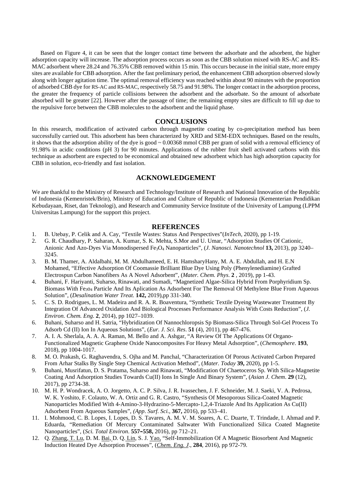Based on Figure 4, it can be seen that the longer contact time between the adsorbate and the adsorbent, the higher adsorption capacity will increase. The adsorption process occurs as soon as the CBB solution mixed with RS-AC and RS- MAC adsorbent where 28.24 and 76.35% CBB removed within 15 min. This occurs because in the initial state, more empty sites are available for CBB adsorption. After the fast preliminary period, the enhancement CBB adsorption observed slowly along with longer agitation time. The optimal removal efficiency was reached within about 90 minutes with the proportion of adsorbed CBB dye for RS-AC and RS-MAC, respectively 58.75 and 91.98%. The longer contact in the adsorption process, the greater the frequency of particle collisions between the adsorbent and the adsorbate. So the amount of adsorbate absorbed will be greater [22]. However after the passage of time; the remaining empty sites are difficult to fill up due to the repulsive force between the CBB molecules to the adsorbent and the liquid phase.

#### **CONCLUSIONS**

In this research, modification of activated carbon through magnetite coating by co-precipitation method has been successfully carried out. This adsorbent has been characterized by XRD and SEM-EDX techniques. Based on the results, it shows that the adsorption ability of the dye is good ~ 0.00368 mmol CBB per gram of solid with a removal efficiency of 91.98% in acidic conditions (pH 3) for 90 minutes. Applications of the rubber fruit shell activated carbons with this technique as adsorbent are expected to be economical and obtained new adsorbent which has high adsorption capacity for CBB in solution, eco-friendly and fast isolation.

#### **ACKNOWLEDGEMENT**

We are thankful to the Ministry of Research and Technology/Institute of Research and National Innovation of the Republic of Indonesia (Kemenristek/Brin), Ministry of Education and Culture of Republic of Indonesia (Kementerian Pendidikan Kebudayaan, Riset, dan Teknologi), and Research and Community Service Institute of the University of Lampung (LPPM Universitas Lampung) for the support this project.

#### **REFERENCES**

- 1. B. Utebay, P. Celik and A. Cay, "Textile Wastes: Status And Perspectives"(*InTech*, 2020), pp 1-19.
- 2. G. R. Chaudhary, P. Saharan, A. Kumar, S. K. Mehta, S.Mor and U. Umar, "Adsorption Studies Of Cationic, Anionic And Azo-Dyes Via Monodispersed Fe3O<sup>4</sup> Nanoparticles", (*J. Nanosci. Nanotechnol* **13,** 2013), pp 3240– 3245.
- 3. B. M. Thamer, A. Aldalbahi, M. M. Abdulhameed, E. H. HamsharyHany, M. A. E. Abdullah, and H. E.N Mohamed, "Effective Adsorption Of Coomassie Brilliant Blue Dye Using Poly (Phenylenediamine) Grafted Electrospun Carbon Nanofibers As A Novel Adsorbent", (*Mater. Chem. Phys*. **2** , 2019), pp 1-43.
- 4. Buhani, F. Hariyanti, Suharso, Rinawati, and Sumadi, "Magnetized Algae-Silica Hybrid From Porphyridium Sp. Biomass With Fe3o<sup>4</sup> Particle And Its Aplication As Adsorbent For The Removal Of Methylene Blue From Aqueous Solution", (*Desalination Water Treat.* **142,** 2019),pp 331-340.
- 5. C. S. D. Rodrigues, L. M. Madeira and R. A. R. Boaventura, "Synthetic Textile Dyeing Wastewater Treatment By Integration Of Advanced Oxidation And Biological Processes Performance Analysis With Costs Reduction", (*J. Environ. Chem. Eng*. **2**, 2014), pp 1027–1039.
- 6. Buhani, Suharso and H. Satria, "Hybridization Of Nannochloropsis Sp Biomass-Silica Through Sol-Gel Process To Adsorb Cd (II) Ion In Aqueous Solutions", (*Eur. J. Sci. Res*. **51** (4), 2011), pp 467-476.
- 7. A. I. A. Sherlala, A. A. A. Raman, M. Bello and A. Ashgar, "A Review Of The Applications Of Organo- Functionalized Magnetic Graphene Oxide Nanocomposites For Heavy Metal Adsorption", (*Chemosphere*. **193**, 2018), pp 1004-1017.
- 8. M. O. Prakash, G. Raghavendra, S. Ojha and M. Panchal, "Characterization Of Porous Activated Carbon Prepared From Arhar Stalks By Single Step Chemical Activation Method", (*Mater. Today* **39,** 2020), pp 1-5.
- 9. Buhani, Musrifatun, D. S. Pratama, Suharso and Rinawati, "Modification Of Chaetoceros Sp. With Silica-Magnetite Coating And Adsorption Studies Towards Cu(II) Ions In Single And Binary System", (*Asian J. Chem*. **29** (12), 2017), pp 2734-38.
- 10. M. H. P. Wondracek, A. O. Jorgetto, A. C. P. Silva, J. R. Ivassechen, J. F. Schneider, M. J. Saeki, V. A. Pedrosa, W. K. Yoshito, F. Colauto, W. A. Ortiz and G. R. Castro, "Synthesis Of Mesoporous Silica-Coated Magnetic Nanoparticles Modified With 4-Amino-3-Hydrazino-5-Mercapto-1,2,4-Triazole And Its Application As Cu(II) Adsorbent From Aqueous Samples", *(App*. *Surf*. *Sci.*, **367,** 2016), pp 533–41.
- 11. I. Mohmood, C. B. Lopes, I. Lopes, D. S. Tavares, A. M. V. M. Soares, A. C. Duarte, T. Trindade, I. Ahmad and P. Eduarda, "Remediation Of Mercury Contaminated Saltwater With Functionalized Silica Coated Magnetite Nanoparticles", (*Sci. Total Environ*. **557–558,** 2016), pp 712–21.
- 12. Q. Zhang, T. Lu, D. M. Bai, D. Q. Lin, S. J. Yao, "Self-Immobilization Of A Magnetic Biosorbent And Magnetic Induction Heated Dye Adsorption Processes", (*Chem. Eng. J*., **284**, 2016), pp 972-79.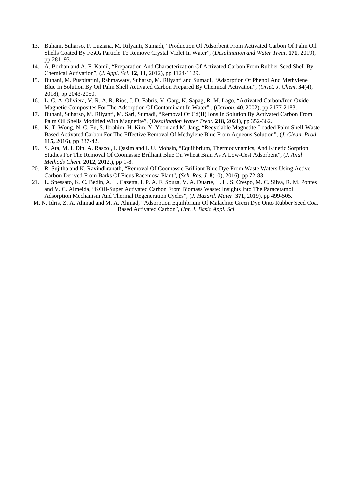- 13. Buhani, Suharso, F. Luziana, M. Rilyanti, Sumadi, "Production Of Adsorbent From Activated Carbon Of Palm Oil Shells Coated By Fe3O<sup>4</sup> Particle To Remove Crystal Violet In Water", (*Desalination and Water Treat*. **171**, 2019), pp 281–93.
- 14. A. Borhan and A. F. Kamil, "Preparation And Characterization Of Activated Carbon From Rubber Seed Shell By Chemical Activation", (*J. Appl. Sci*. **12**, 11, 2012), pp 1124-1129.
- 15. Buhani, M. Puspitarini, Rahmawaty, Suharso, M. Rilyanti and Sumadi, "Adsorption Of Phenol And Methylene Blue In Solution By Oil Palm Shell Activated Carbon Prepared By Chemical Activation", (*Oriet. J. Chem*. **34**(4), 2018), pp 2043-2050.
- 16. L. C. A. Oliviera, V. R. A. R. Rios, J. D. Fabris, V. Garg, K. Sapag, R. M. Lago, "Activated Carbon/Iron Oxide Magnetic Composites For The Adsorption Of Contaminant In Water",. (*Carbon*. **40**, 2002), pp 2177-2183.
- 17. Buhani, Suharso, M. Rilyanti, M. Sari, Sumadi, "Removal Of Cd(II) Ions In Solution By Activated Carbon From Palm Oil Shells Modified With Magnetite", (*Desalination Water Treat.* **218,** 2021), pp 352-362.
- 18. K. T. Wong, N. C. Eu, S. Ibrahim, H. Kim, Y. Yoon and M. Jang, "Recyclable Magnetite-Loaded Palm Shell-Waste Based Activated Carbon For The Effective Removal Of Methylene Blue From Aqueous Solution", (*J. Clean. Prod*. **115,** 2016), pp 337-42.
- 19. S. Ata, M. I. Din, A. Rasool, I. Qasim and I. U. Mohsin, "Equilibrium, Thermodynamics, And Kinetic Sorption Studies For The Removal Of Coomassie Brilliant Blue On Wheat Bran As A Low-Cost Adsorbent", (*J. Anal Methods Chem*. **2012,** 2012.), pp 1-8.
- 20. R. Sujitha and K. Ravindhranath, "Removal Of Coomassie Brilliant Blue Dye From Waste Waters Using Active Carbon Derived From Barks Of Ficus Racemosa Plant", (*Sch. Res. J.* **8**(10), 2016), pp 72-83.
- 21. L. Spessato, K. C. Bedin, A. L. Cazetta, I. P. A. F. Souza, V. A. Duarte, L. H. S. Crespo, M. C. Silva, R. M. Pontes and V. C. Almeida, "KOH-Super Activated Carbon From Biomass Waste: Insights Into The Paracetamol Adsorption Mechanism And Thermal Regeneration Cycles", (*J. Hazard. Mater*. **371,** 2019), pp 499-505.
- M. N. Idris, Z. A. Ahmad and M. A. Ahmad, "Adsorption Equilibrium Of Malachite Green Dye Onto Rubber Seed Coat Based Activated Carbon", (*Int. J. Basic Appl. Sci*